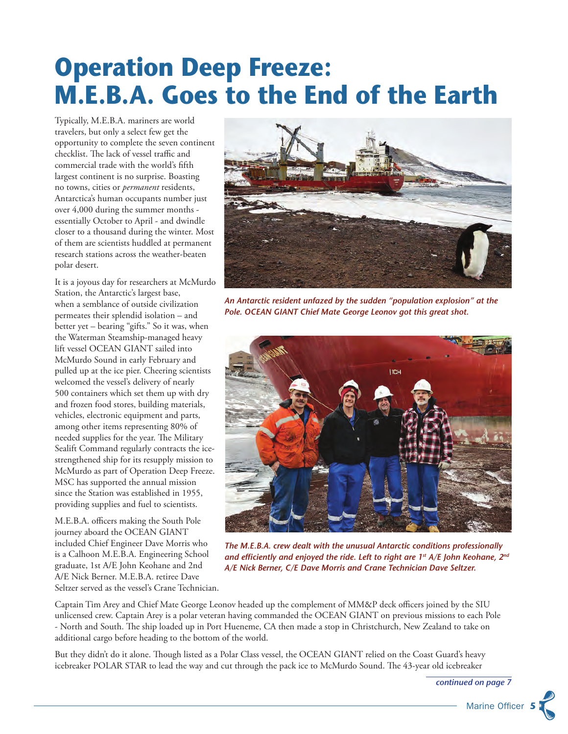## **Operation Deep Freeze: M.E.B.A. Goes to the End of the Earth**

Typically, M.E.B.A. mariners are world travelers, but only a select few get the opportunity to complete the seven continent checklist. The lack of vessel traffic and commercial trade with the world's fifth largest continent is no surprise. Boasting no towns, cities or *permanent* residents, Antarctica's human occupants number just over 4,000 during the summer months essentially October to April - and dwindle closer to a thousand during the winter. Most of them are scientists huddled at permanent research stations across the weather-beaten polar desert.

It is a joyous day for researchers at McMurdo Station, the Antarctic's largest base, when a semblance of outside civilization permeates their splendid isolation – and better yet – bearing "gifts." So it was, when the Waterman Steamship-managed heavy lift vessel OCEAN GIANT sailed into McMurdo Sound in early February and pulled up at the ice pier. Cheering scientists welcomed the vessel's delivery of nearly 500 containers which set them up with dry and frozen food stores, building materials, vehicles, electronic equipment and parts, among other items representing 80% of needed supplies for the year. The Military Sealift Command regularly contracts the icestrengthened ship for its resupply mission to McMurdo as part of Operation Deep Freeze. MSC has supported the annual mission since the Station was established in 1955, providing supplies and fuel to scientists.

M.E.B.A. officers making the South Pole journey aboard the OCEAN GIANT included Chief Engineer Dave Morris who is a Calhoon M.E.B.A. Engineering School graduate, 1st A/E John Keohane and 2nd A/E Nick Berner. M.E.B.A. retiree Dave Seltzer served as the vessel's Crane Technician.



*An Antarctic resident unfazed by the sudden "population explosion" at the Pole. OCEAN GIANT Chief Mate George Leonov got this great shot.*



*The M.E.B.A. crew dealt with the unusual Antarctic conditions professionally and efficiently and enjoyed the ride. Left to right are 1st A/E John Keohane, 2nd A/E Nick Berner, C/E Dave Morris and Crane Technician Dave Seltzer.*

Captain Tim Arey and Chief Mate George Leonov headed up the complement of MM&P deck officers joined by the SIU unlicensed crew. Captain Arey is a polar veteran having commanded the OCEAN GIANT on previous missions to each Pole - North and South. The ship loaded up in Port Hueneme, CA then made a stop in Christchurch, New Zealand to take on additional cargo before heading to the bottom of the world.

But they didn't do it alone. Though listed as a Polar Class vessel, the OCEAN GIANT relied on the Coast Guard's heavy icebreaker POLAR STAR to lead the way and cut through the pack ice to McMurdo Sound. The 43-year old icebreaker

*continued on page 7*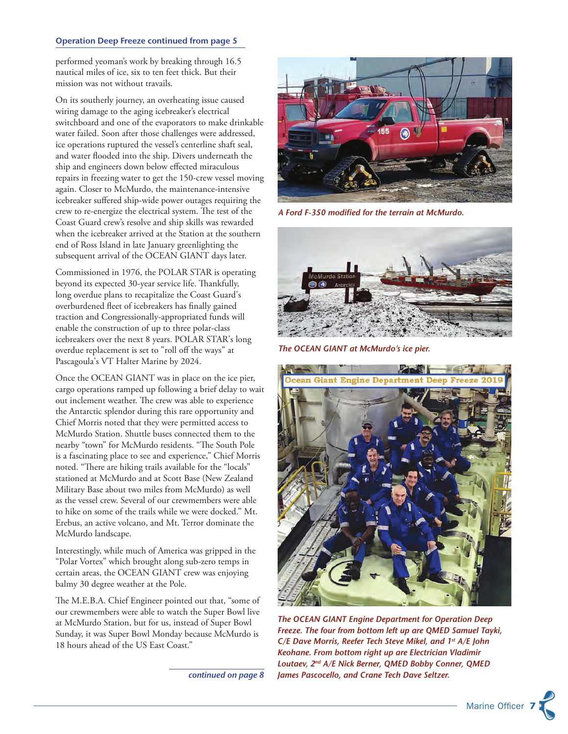## Operation Deep Freeze continued from page 5

performed yeoman's work by breaking through 16.5 nautical miles of ice, six to ten feet thick. But their mission was not without travails.

On its southerly journey, an overheating issue caused wiring damage to the aging icebreaker's electrical switchboard and one of the evaporators to make drinkable water failed. Soon after those challenges were addressed, ice operations ruptured the vessel's centerline shaft seal, and water flooded into the ship. Divers underneath the ship and engineers down below effected miraculous repairs in freezing water to get the 150-crew vessel moving again. Closer to McMurdo, the maintenance-intensive icebreaker suffered ship-wide power outages requiring the crew to re-energize the electrical system. The test of the Coast Guard crew's resolve and ship skills was rewarded when the icebreaker arrived at the Station at the southern end of Ross Island in late January greenlighting the subsequent arrival of the OCEAN GIANT days later.

Commissioned in 1976, the POLAR STAR is operating beyond its expected 30-year service life. Thankfully, long overdue plans to recapitalize the Coast Guard's overburdened fleet of icebreakers has finally gained traction and Congressionally-appropriated funds will enable the construction of up to three polar-class icebreakers over the next 8 years. POLAR STAR's long overdue replacement is set to "roll off the ways" at Pascagoula's VT Halter Marine by 2024.

Once the OCEAN GIANT was in place on the ice pier, cargo operations ramped up following a brief delay to wait out inclement weather. The crew was able to experience the Antarctic splendor during this rare opportunity and Chief Morris noted that they were permitted access to McMurdo Station. Shuttle buses connected them to the nearby "town" for McMurdo residents. "The South Pole is a fascinating place to see and experience," Chief Morris noted. "There are hiking trails available for the "locals" stationed at McMurdo and at Scott Base (New Zealand Military Base about two miles from McMurdo) as well as the vessel crew. Several of our crewmembers were able to hike on some of the trails while we were docked." Mt. Erebus, an active volcano, and Mt. Terror dominate the McMurdo landscape.

Interestingly, while much of America was gripped in the "Polar Vortex" which brought along sub-zero temps in certain areas, the OCEAN GIANT crew was enjoying balmy 30 degree weather at the Pole.

The M.E.B.A. Chief Engineer pointed out that, "some of our crewmembers were able to watch the Super Bowl live at McMurdo Station, but for us, instead of Super Bowl Sunday, it was Super Bowl Monday because McMurdo is 18 hours ahead of the US East Coast."

*continued on page 8*



*A Ford F-350 modified for the terrain at McMurdo.*



*The OCEAN GIANT at McMurdo's ice pier.*



*The OCEAN GIANT Engine Department for Operation Deep Freeze. The four from bottom left up are QMED Samuel Tayki, C/E Dave Morris, Reefer Tech Steve Mikel, and 1st A/E John Keohane. From bottom right up are Electrician Vladimir Loutaev, 2nd A/E Nick Berner, QMED Bobby Conner, QMED James Pascocello, and Crane Tech Dave Seltzer.*